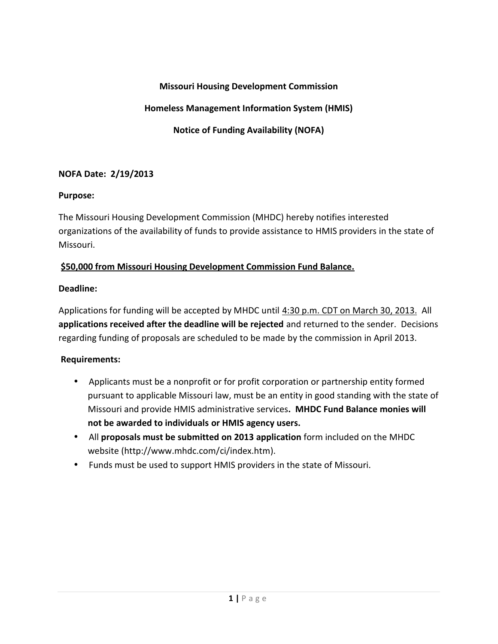# **Missouri Housing Development Commission**

# **Homeless Management Information System (HMIS)**

**Notice of Funding Availability (NOFA)**

## **NOFA Date: 2/19/2013**

#### **Purpose:**

The Missouri Housing Development Commission (MHDC) hereby notifies interested organizations of the availability of funds to provide assistance to HMIS providers in the state of Missouri.

## **\$50,000 from Missouri Housing Development Commission Fund Balance.**

## **Deadline:**

Applications for funding will be accepted by MHDC until 4:30 p.m. CDT on March 30, 2013. All **applications received after the deadline will be rejected** and returned to the sender. Decisions regarding funding of proposals are scheduled to be made by the commission in April 2013.

#### **Requirements:**

- Applicants must be a nonprofit or for profit corporation or partnership entity formed pursuant to applicable Missouri law, must be an entity in good standing with the state of Missouri and provide HMIS administrative services**. MHDC Fund Balance monies will not be awarded to individuals or HMIS agency users.**
- All **proposals must be submitted on 2013 application** form included on the MHDC website (http://www.mhdc.com/ci/index.htm).
- Funds must be used to support HMIS providers in the state of Missouri.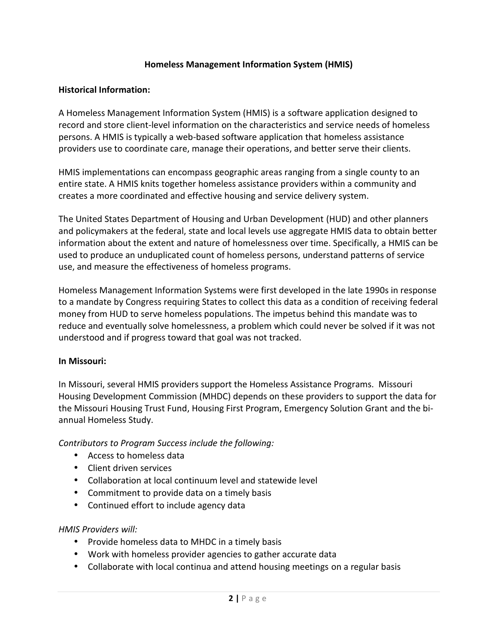## **Homeless Management Information System (HMIS)**

## **Historical Information:**

A Homeless Management Information System (HMIS) is a software application designed to record and store client-level information on the characteristics and service needs of homeless persons. A HMIS is typically a web-based software application that homeless assistance providers use to coordinate care, manage their operations, and better serve their clients.

HMIS implementations can encompass geographic areas ranging from a single county to an entire state. A HMIS knits together homeless assistance providers within a community and creates a more coordinated and effective housing and service delivery system.

The United States Department of Housing and Urban Development (HUD) and other planners and policymakers at the federal, state and local levels use aggregate HMIS data to obtain better information about the extent and nature of homelessness over time. Specifically, a HMIS can be used to produce an unduplicated count of homeless persons, understand patterns of service use, and measure the effectiveness of homeless programs.

Homeless Management Information Systems were first developed in the late 1990s in response to a mandate by Congress requiring States to collect this data as a condition of receiving federal money from HUD to serve homeless populations. The impetus behind this mandate was to reduce and eventually solve homelessness, a problem which could never be solved if it was not understood and if progress toward that goal was not tracked.

#### **In Missouri:**

In Missouri, several HMIS providers support the Homeless Assistance Programs. Missouri Housing Development Commission (MHDC) depends on these providers to support the data for the Missouri Housing Trust Fund, Housing First Program, Emergency Solution Grant and the bi annual Homeless Study.

*Contributors to Program Success include the following:*

- Access to homeless data
- Client driven services
- Collaboration at local continuum level and statewide level
- Commitment to provide data on a timely basis
- Continued effort to include agency data

#### *HMIS Providers will:*

- Provide homeless data to MHDC in a timely basis
- 
- Work with homeless provider agencies to gather accurate data<br>• Collaborate with local continua and attend housing meetings on a regul<br>• 2 | P a g e Collaborate with local continua and attend housing meetings on a regular basis